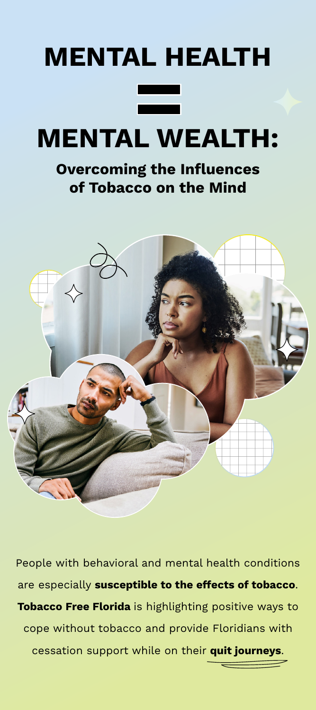

## **Overcoming the Influences of Tobacco on the Mind**



People with behavioral and mental health conditions are especially **susceptible to the effects of tobacco**. **Tobacco Free Florida** is highlighting positive ways to cope without tobacco and provide Floridians with cessation support while on their **quit journeys**.